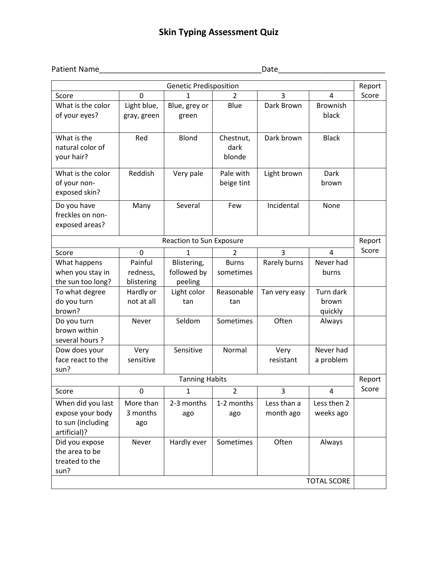## **Skin Typing Assessment Quiz**

## Patient Name\_\_\_\_\_\_\_\_\_\_\_\_\_\_\_\_\_\_\_\_\_\_\_\_\_\_\_\_\_\_\_\_\_\_\_\_\_\_Date\_\_\_\_\_\_\_\_\_\_\_\_\_\_\_\_\_\_\_\_\_\_\_\_\_

| <b>Genetic Predisposition</b>                                              |                                   |                                       |                             |                          |                               |        |
|----------------------------------------------------------------------------|-----------------------------------|---------------------------------------|-----------------------------|--------------------------|-------------------------------|--------|
| Score                                                                      | 0                                 | 1                                     | 2                           | 3                        | 4                             | Score  |
| What is the color<br>of your eyes?                                         | Light blue,<br>gray, green        | Blue, grey or<br>green                | Blue                        | Dark Brown               | <b>Brownish</b><br>black      |        |
| What is the<br>natural color of<br>your hair?                              | Red                               | Blond                                 | Chestnut,<br>dark<br>blonde | Dark brown               | <b>Black</b>                  |        |
| What is the color<br>of your non-<br>exposed skin?                         | Reddish                           | Very pale                             | Pale with<br>beige tint     | Light brown              | <b>Dark</b><br>brown          |        |
| Do you have<br>freckles on non-<br>exposed areas?                          | Many                              | Several                               | Few                         | Incidental               | None                          |        |
|                                                                            |                                   | <b>Reaction to Sun Exposure</b>       |                             |                          |                               | Report |
| Score                                                                      | 0                                 | $\mathbf{1}$                          | 2                           | $\overline{3}$           | 4                             | Score  |
| What happens<br>when you stay in<br>the sun too long?                      | Painful<br>redness,<br>blistering | Blistering,<br>followed by<br>peeling | <b>Burns</b><br>sometimes   | Rarely burns             | Never had<br>burns            |        |
| To what degree<br>do you turn<br>brown?                                    | Hardly or<br>not at all           | Light color<br>tan                    | Reasonable<br>tan           | Tan very easy            | Turn dark<br>brown<br>quickly |        |
| Do you turn<br>brown within<br>several hours?                              | Never                             | Seldom                                | Sometimes                   | Often                    | Always                        |        |
| Dow does your<br>face react to the<br>sun?                                 | Very<br>sensitive                 | Sensitive                             | Normal                      | Very<br>resistant        | Never had<br>a problem        |        |
|                                                                            |                                   | <b>Tanning Habits</b>                 |                             |                          |                               | Report |
| Score                                                                      | 0                                 | $\mathbf{1}$                          | $\overline{2}$              | 3                        | 4                             | Score  |
| When did you last<br>expose your body<br>to sun (including<br>artificial)? | More than<br>3 months<br>ago      | 2-3 months<br>ago                     | 1-2 months<br>ago           | Less than a<br>month ago | Less then 2<br>weeks ago      |        |
| Did you expose<br>the area to be<br>treated to the<br>sun?                 | Never                             | Hardly ever                           | Sometimes                   | Often                    | Always                        |        |
| <b>TOTAL SCORE</b>                                                         |                                   |                                       |                             |                          |                               |        |